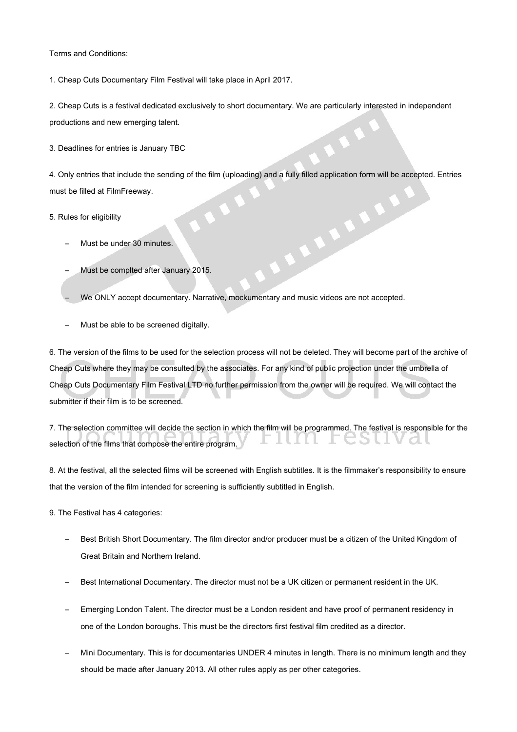Terms and Conditions:

1. Cheap Cuts Documentary Film Festival will take place in April 2017.

2. Cheap Cuts is a festival dedicated exclusively to short documentary. We are particularly interested in independent productions and new emerging talent.

3. Deadlines for entries is January TBC

4. Only entries that include the sending of the film (uploading) and a fully filled application form will be accepted. Entries must be filled at FilmFreeway. **ARALLES** 

5. Rules for eligibility

- Must be under 30 minutes.
- Must be complted after January 2015.
- We ONLY accept documentary. Narrative, mockumentary and music videos are not accepted.
- Must be able to be screened digitally.

6. The version of the films to be used for the selection process will not be deleted. They will become part of the archive of Cheap Cuts where they may be consulted by the associates. For any kind of public projection under the umbrella of Cheap Cuts Documentary Film Festival LTD no further permission from the owner will be required. We will contact the submitter if their film is to be screened.

7. The selection committee will decide the section in which the film will be programmed. The festival is responsible for the . . selection of the films that compose the entire program.

8. At the festival, all the selected films will be screened with English subtitles. It is the filmmaker's responsibility to ensure that the version of the film intended for screening is sufficiently subtitled in English.

9. The Festival has 4 categories:

- Best British Short Documentary. The film director and/or producer must be a citizen of the United Kingdom of Great Britain and Northern Ireland.
- Best International Documentary. The director must not be a UK citizen or permanent resident in the UK.
- Emerging London Talent. The director must be a London resident and have proof of permanent residency in one of the London boroughs. This must be the directors first festival film credited as a director.
- Mini Documentary. This is for documentaries UNDER 4 minutes in length. There is no minimum length and they should be made after January 2013. All other rules apply as per other categories.